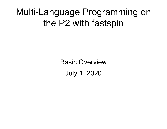#### Multi-Language Programming on the P2 with fastspin

Basic Overview July 1, 2020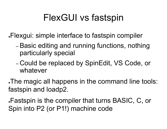### FlexGUI vs fastspin

. Flexgui: simple interface to fastspin compiler

- Basic editing and running functions, nothing particularly special
- Could be replaced by SpinEdit, VS Code, or whatever

. The magic all happens in the command line tools: fastspin and loadp2.

Fastspin is the compiler that turns BASIC, C, or Spin into P2 (or P1!) machine code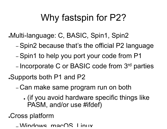## Why fastspin for P2?

●Multi-language: C, BASIC, Spin1, Spin2

- Spin2 because that's the official P2 language
- Spin1 to help you port your code from P1
- Incorporate C or BASIC code from 3rd parties

●Supports both P1 and P2

– Can make same program run on both

• (if you avoid hardware specific things like PASM, and/or use #ifdef)

●Cross platform

– Windows, macOS, Linux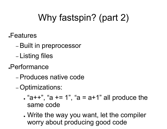## Why fastspin? (part 2)

- ●Features
	- Built in preprocessor
	- Listing files
- ●Performance
	- Produces native code
	- Optimizations:
		- $\bullet$  "a++", "a += 1", "a = a+1" all produce the same code
		- Write the way you want, let the compiler worry about producing good code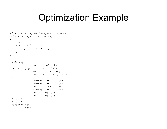#### Optimization Example

```
// add an array of integers to another
void addarray(int N, int *a, int *b)
 \{int i;
            for (i = 0; i < N; i++) {
                        a[i] = a[i] + b[i];}
 }
 _addarray
                                                COPLIMIZATION EXAM<br>
Tof integers to another<br>
nt N, int *a, int *b)<br>
\frac{1}{a(i)+b(i)}<br>
\frac{1}{b(i)+b(i)}<br>
\frac{1}{b(i)}<br>
\frac{1}{b(k)}<br>
\frac{1}{b(k)}<br>
\frac{1}{b(k)}<br>
\frac{1}{b(k)}<br>
\frac{1}{b(k)}<br>
\frac{1}{b(k)}<br>
\frac{1}{b(k)}<br>
\frac{1}{b(k)}<br>
\frac{1}{b(k)}<br>
    Add an array of integers to another<br>
via didarray (int N, int *a, int *b)<br>
int i;<br>
for (i = 0; i < N; i++)<br>
a (i] = a[i] + b[i];<br>
addarray<br>
and and array<br>
\begin{array}{rcl}\n\text{and} & \text{if } N = 0.03 \\
\text{and} & \text{if } N = 0.003 \\
\text{if } \text{def} & \text{if } N = 0.003 \\
\text{ifof integers to another<br>
nt N, int *a, int *b)<br>
i < N; i++) {<br>
a[i] + b[i];<br>
a[i] + b[i];<br>
cmps arg01, #0 wcz<br>
#LR_0003<br>
mov _var01, arg01<br>
rep @LR_0002, _var01<br>
rdlong _var02, arg02<br>
rdlong _var03, arg03<br>
wrlong _var03, ar
                                                of integers to another<br>nt N, int *a, int *b)<br>i < N; i++) {<br>a[i] + b[i];<br>cmps arg01, #0 wcz<br>#LR_0003<br>mov _var01, arg01<br>rep @LR_0002, _var01<br>rdlong _var02, arg02<br>rdlong _var02, arg02<br>add _var02, _var03<br>add _var02, _var03<br>add
LR__0001
                                              rdlong _var02, arg02
                                              rdlong _var03, arg03
                                                nc N, Inc a, Inc D,<br>
i < N; i++) {<br>
a[i] + b[i];<br>
cmps arg01, #0 wcz<br>
#LR_0003<br>
mov var01, arg01<br>
rep eLR_0002, _var01<br>
rdlong _var02, arg02<br>
rdlong _var03, arg03<br>
add _var02, _var03<br>
add _var02, _var03<br>
add arg02, #4<br>
add
                                              wrlong var02, arg02
                                                1 < N; i++) {<br>
a[i] + b[i];<br>
emps arg01, #0 wcz<br>
#LR_0003<br>
mov var01, arg01<br>
rep @LR_0002, _var01<br>
rdlong _var02, arg02<br>
add _var02, _var03<br>
add _var02, _var03<br>
wrlong _var02, _var03<br>
wrlong _var02, _var03<br>
add arg02, #4<br>

                                                a[i] + b[i];<br>
a[i] + b[i];<br>
cmps arg01, #0 wcz<br>
#LR_0003<br>
mov _var01, arg01<br>
eER_0002, _var01<br>
rdlong _var02, arg02<br>
rdlong _var03, arg03<br>
wrlong _var02, _var03<br>
wrlong _var02, _var03<br>
wrlong _var02, _var03<br>
add _arg02, 
LR__0002
LR__0003
 _addarray_ret
                               reta
```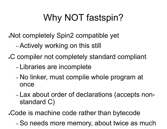# Why NOT fastspin?

. Not completely Spin2 compatible yet

– Actively working on this still

. C compiler not completely standard compliant

- Libraries are incomplete
- No linker, must compile whole program at once
- Lax about order of declarations (accepts nonstandard C)

. Code is machine code rather than bytecode

– So needs more memory, about twice as much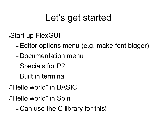#### Let's get started

●Start up FlexGUI

- Editor options menu (e.g. make font bigger)
- Documentation menu
- Specials for P2
- Built in terminal
- . "Hello world" in BASIC
- . "Hello world" in Spin

– Can use the C library for this!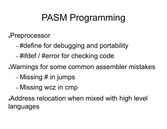## PASM Programming

●Preprocessor

- #define for debugging and portability
- #ifdef / #error for checking code

Warnings for some common assembler mistakes

- Missing # in jumps
- Missing wcz in cmp

Address relocation when mixed with high level languages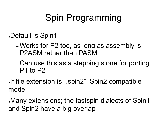## Spin Programming

●Default is Spin1

- Works for P2 too, as long as assembly is P2ASM rather than PASM
- Can use this as a stepping stone for porting P1 to P2
- If file extension is ".spin2", Spin2 compatible mode

•Many extensions; the fastspin dialects of Spin1 and Spin2 have a big overlap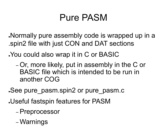#### Pure PASM

. Normally pure assembly code is wrapped up in a .spin2 file with just CON and DAT sections

. You could also wrap it in C or BASIC

– Or, more likely, put in assembly in the C or BASIC file which is intended to be run in another COG

. See pure pasm.spin2 or pure pasm.c

- ●Useful fastspin features for PASM
	- Preprocessor
	- Warnings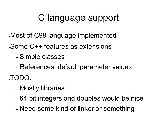### C language support

- Most of C99 language implemented
- •Some C++ features as extensions
	- Simple classes
	- References, default parameter values
- ●TODO:
	- Mostly libraries
	- 64 bit integers and doubles would be nice
	- Need some kind of linker or something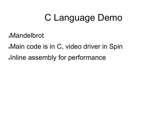#### C Language Demo

.Mandelbrot

. Main code is in C, video driver in Spin

Inline assembly for performance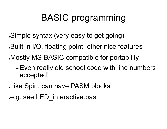## BASIC programming

- ●Simple syntax (very easy to get going)
- Built in I/O, floating point, other nice features
- . Mostly MS-BASIC compatible for portability
	- Even really old school code with line numbers accepted!
- Like Spin, can have PASM blocks
- e.g. see LED interactive.bas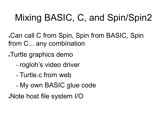# Mixing BASIC, C, and Spin/Spin2

Can call C from Spin, Spin from BASIC, Spin. from C... any combination

- ●Turtle graphics demo
	- rogloh's video driver
	- Turtle.c from web
	- My own BASIC glue code

●Note host file system I/O